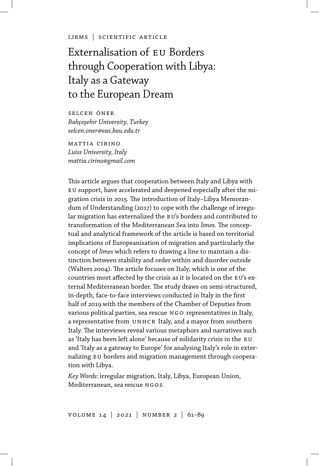ijems | scientific article

# Externalisation of eu Borders through Cooperation with Libya: Italy as a Gateway to the European Dream

selcen öner *Bahçeşehir University, Turkey selcen.oner@eas.bau.edu.tr*

mattia cirino *Luiss University, Italy mattia.cirino@gmail.com*

This article argues that cooperation between Italy and Libya with eu support, have accelerated and deepened especially after the migration crisis in 2015. The introduction of Italy–Libya Memorandum of Understanding (2017) to cope with the challenge of irregular migration has externalized the EU's borders and contributed to transformation of the Mediterranean Sea into *limes*. The conceptual and analytical framework of the article is based on territorial implications of Europeanisation of migration and particularly the concept of *limes* which refers to drawing a line to maintain a distinction between stability and order within and disorder outside (Walters 2004). The article focuses on Italy, which is one of the countries most affected by the crisis as it is located on the EU's external Mediterranean border. The study draws on semi-structured, in-depth, face-to-face interviews conducted in Italy in the first half of 2019 with the members of the Chamber of Deputies from various political parties, sea rescue NGO representatives in Italy, a representative from UNHCR Italy, and a mayor from southern Italy. The interviews reveal various metaphors and narratives such as 'Italy has been left alone' because of solidarity crisis in the EU and 'Italy as a gateway to Europe' for analysing Italy's role in externalizing EU borders and migration management through cooperation with Libya.

*Key Words:* irregular migration, Italy, Libya, European Union, Mediterranean, sea rescue ngos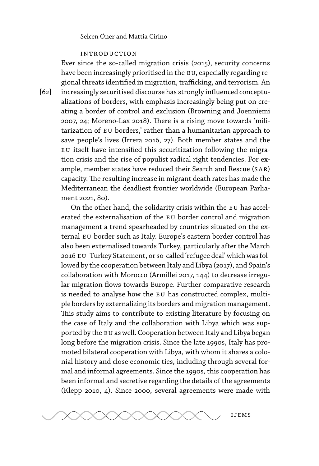### introduction

Ever since the so-called migration crisis (2015), security concerns have been increasingly prioritised in the EU, especially regarding regional threats identified in migration, trafficking, and terrorism. An increasingly securitised discourse has strongly influenced conceptualizations of borders, with emphasis increasingly being put on creating a border of control and exclusion (Browning and Joenniemi 2007, 24; Moreno-Lax 2018). There is a rising move towards 'militarization of eu borders,' rather than a humanitarian approach to save people's lives (Irrera 2016, 27). Both member states and the eu itself have intensified this securitization following the migration crisis and the rise of populist radical right tendencies. For example, member states have reduced their Search and Rescue (sar) capacity. The resulting increase in migrant death rates has made the Mediterranean the deadliest frontier worldwide (European Parliament 2021, 80).

On the other hand, the solidarity crisis within the EU has accelerated the externalisation of the eu border control and migration management a trend spearheaded by countries situated on the external EU border such as Italy. Europe's eastern border control has also been externalised towards Turkey, particularly after the March 2016 eu–Turkey Statement, or so-called 'refugee deal' which was followed by the cooperation between Italy and Libya (2017), and Spain's collaboration with Morocco (Armillei 2017, 144) to decrease irregular migration flows towards Europe. Further comparative research is needed to analyse how the EU has constructed complex, multiple borders by externalizing its borders and migration management. This study aims to contribute to existing literature by focusing on the case of Italy and the collaboration with Libya which was supported by the EU as well. Cooperation between Italy and Libya began long before the migration crisis. Since the late 1990s, Italy has promoted bilateral cooperation with Libya, with whom it shares a colonial history and close economic ties, including through several formal and informal agreements. Since the 1990s, this cooperation has been informal and secretive regarding the details of the agreements (Klepp 2010, 4). Since 2000, several agreements were made with



 $[62]$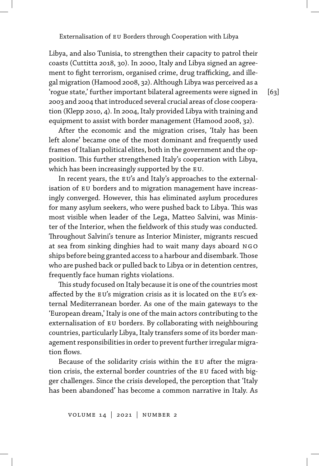Libya, and also Tunisia, to strengthen their capacity to patrol their coasts (Cuttitta 2018, 30). In 2000, Italy and Libya signed an agreement to fight terrorism, organised crime, drug trafficking, and illegal migration (Hamood 2008, 32). Although Libya was perceived as a 'rogue state,' further important bilateral agreements were signed in 2003 and 2004 that introduced several crucial areas of close cooperation (Klepp 2010, 4). In 2004, Italy provided Libya with training and equipment to assist with border management (Hamood 2008, 32).

After the economic and the migration crises, 'Italy has been left alone' became one of the most dominant and frequently used frames of Italian political elites, both in the government and the opposition. This further strengthened Italy's cooperation with Libya, which has been increasingly supported by the EU.

In recent years, the EU's and Italy's approaches to the externalisation of EU borders and to migration management have increasingly converged. However, this has eliminated asylum procedures for many asylum seekers, who were pushed back to Libya. This was most visible when leader of the Lega, Matteo Salvini, was Minister of the Interior, when the fieldwork of this study was conducted. Throughout Salvini's tenure as Interior Minister, migrants rescued at sea from sinking dinghies had to wait many days aboard NGO ships before being granted access to a harbour and disembark.Those who are pushed back or pulled back to Libya or in detention centres, frequently face human rights violations.

This study focused on Italy because it is one of the countries most affected by the EU's migration crisis as it is located on the EU's external Mediterranean border. As one of the main gateways to the 'European dream,' Italy is one of the main actors contributing to the externalisation of eu borders. By collaborating with neighbouring countries, particularly Libya, Italy transfers some of its border management responsibilities in order to prevent further irregular migration flows.

Because of the solidarity crisis within the EU after the migration crisis, the external border countries of the EU faced with bigger challenges. Since the crisis developed, the perception that 'Italy has been abandoned' has become a common narrative in Italy. As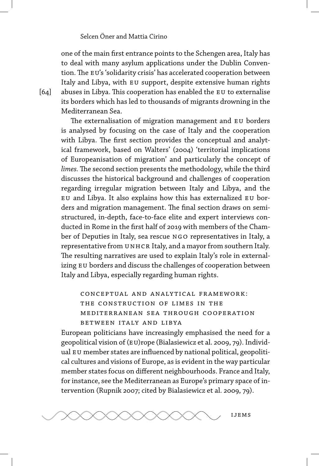one of the main first entrance points to the Schengen area, Italy has to deal with many asylum applications under the Dublin Convention. The EU's 'solidarity crisis' has accelerated cooperation between Italy and Libya, with eu support, despite extensive human rights abuses in Libya. This cooperation has enabled the EU to externalise its borders which has led to thousands of migrants drowning in the Mediterranean Sea.

The externalisation of migration management and EU borders is analysed by focusing on the case of Italy and the cooperation with Libya. The first section provides the conceptual and analytical framework, based on Walters' (2004) 'territorial implications of Europeanisation of migration' and particularly the concept of *limes.* The second section presents the methodology, while the third discusses the historical background and challenges of cooperation regarding irregular migration between Italy and Libya, and the eu and Libya. It also explains how this has externalized eu borders and migration management. The final section draws on semistructured, in-depth, face-to-face elite and expert interviews conducted in Rome in the first half of 2019 with members of the Chamber of Deputies in Italy, sea rescue NGO representatives in Italy, a representative from UNHCR Italy, and a mayor from southern Italy. The resulting narratives are used to explain Italy's role in externalizing EU borders and discuss the challenges of cooperation between Italy and Libya, especially regarding human rights.

conceptual and analytical framework: the construction of limes in the mediterranean sea through cooperation between italy and libya

European politicians have increasingly emphasised the need for a geopolitical vision of (EU)rope (Bialasiewicz et al. 2009, 79). Individual EU member states are influenced by national political, geopolitical cultures and visions of Europe, as is evident in the way particular member states focus on different neighbourhoods. France and Italy, for instance, see the Mediterranean as Europe's primary space of intervention (Rupnik 2007; cited by Bialasiewicz et al. 2009, 79).



 $[64]$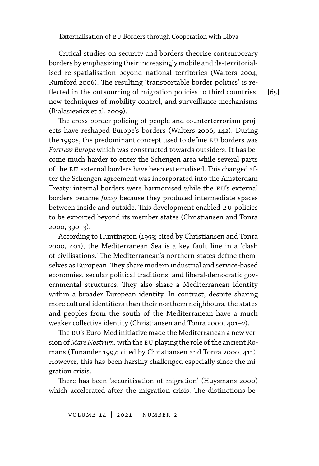Critical studies on security and borders theorise contemporary borders by emphasizing their increasingly mobile and de-territorialised re-spatialisation beyond national territories (Walters 2004; Rumford 2006). The resulting 'transportable border politics' is reflected in the outsourcing of migration policies to third countries, new techniques of mobility control, and surveillance mechanisms (Bialasiewicz et al. 2009).

[65]

The cross-border policing of people and counterterrorism projects have reshaped Europe's borders (Walters 2006, 142). During the 1990s, the predominant concept used to define EU borders was *Fortress Europe* which was constructed towards outsiders. It has become much harder to enter the Schengen area while several parts of the EU external borders have been externalised. This changed after the Schengen agreement was incorporated into the Amsterdam Treaty: internal borders were harmonised while the EU's external borders became *fuzzy* because they produced intermediate spaces between inside and outside. This development enabled EU policies to be exported beyond its member states (Christiansen and Tonra 2000, 390–3).

According to Huntington (1993; cited by Christiansen and Tonra 2000, 401), the Mediterranean Sea is a key fault line in a 'clash of civilisations.' The Mediterranean's northern states define themselves as European. They share modern industrial and service-based economies, secular political traditions, and liberal-democratic governmental structures. They also share a Mediterranean identity within a broader European identity. In contrast, despite sharing more cultural identifiers than their northern neighbours, the states and peoples from the south of the Mediterranean have a much weaker collective identity (Christiansen and Tonra 2000, 401–2).

The EU's Euro-Med initiative made the Mediterranean a new version of *Mare Nostrum*, with the EU playing the role of the ancient Romans (Tunander 1997; cited by Christiansen and Tonra 2000, 411). However, this has been harshly challenged especially since the migration crisis.

There has been 'securitisation of migration' (Huysmans 2000) which accelerated after the migration crisis. The distinctions be-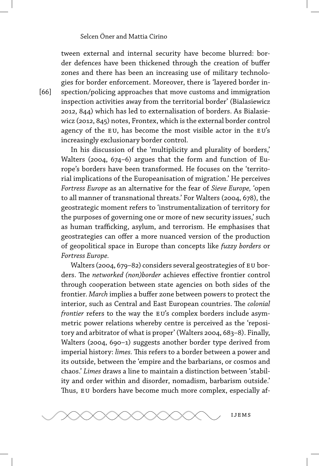tween external and internal security have become blurred: border defences have been thickened through the creation of buffer zones and there has been an increasing use of military technologies for border enforcement. Moreover, there is 'layered border inspection/policing approaches that move customs and immigration inspection activities away from the territorial border' (Bialasiewicz 2012, 844) which has led to externalisation of borders. As Bialasiewicz (2012, 845) notes, Frontex, which is the external border control agency of the EU, has become the most visible actor in the EU's increasingly exclusionary border control.

In his discussion of the 'multiplicity and plurality of borders,' Walters (2004, 674–6) argues that the form and function of Europe's borders have been transformed. He focuses on the 'territorial implications of the Europeanisation of migration.' He perceives *Fortress Europe* as an alternative for the fear of *Sieve Europe,* 'open to all manner of transnational threats.' For Walters (2004, 678), the geostrategic moment refers to 'instrumentalization of territory for the purposes of governing one or more of new security issues,' such as human trafficking, asylum, and terrorism. He emphasises that geostrategies can offer a more nuanced version of the production of geopolitical space in Europe than concepts like *fuzzy borders* or *Fortress Europe.*

Walters (2004, 679-82) considers several geostrategies of EU borders. The *networked (non)border* achieves effective frontier control through cooperation between state agencies on both sides of the frontier. *March* implies a buffer zone between powers to protect the interior, such as Central and East European countries. The *colonial frontier* refers to the way the EU's complex borders include asymmetric power relations whereby centre is perceived as the 'repository and arbitrator of what is proper' (Walters 2004, 683–8). Finally, Walters (2004, 690-1) suggests another border type derived from imperial history: *limes*. This refers to a border between a power and its outside, between the 'empire and the barbarians, or cosmos and chaos.' *Limes* draws a line to maintain a distinction between 'stability and order within and disorder, nomadism, barbarism outside.' Thus, EU borders have become much more complex, especially af-



[66]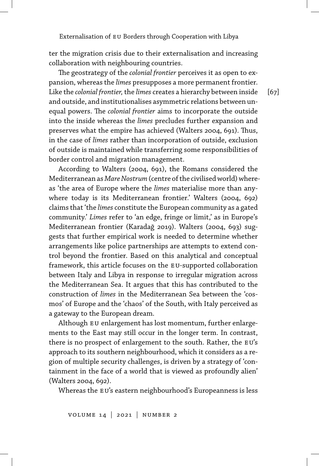ter the migration crisis due to their externalisation and increasing collaboration with neighbouring countries.

The geostrategy of the *colonial frontier* perceives it as open to expansion, whereas the *limes* presupposes a more permanent frontier. Like the *colonial frontier,*the *limes* creates a hierarchy between inside and outside, and institutionalises asymmetric relations between unequal powers. The *colonial frontier* aims to incorporate the outside into the inside whereas the *limes* precludes further expansion and preserves what the empire has achieved (Walters 2004, 691). Thus, in the case of *limes* rather than incorporation of outside, exclusion of outside is maintained while transferring some responsibilities of border control and migration management.

According to Walters (2004, 691), the Romans considered the Mediterranean as *MareNostrum*(centre of the civilised world) whereas 'the area of Europe where the *limes* materialise more than anywhere today is its Mediterranean frontier.' Walters (2004, 692) claims that 'the *limes* constitute the European community as a gated community.' *Limes* refer to 'an edge, fringe or limit,' as in Europe's Mediterranean frontier (Karadağ 2019). Walters (2004, 693) suggests that further empirical work is needed to determine whether arrangements like police partnerships are attempts to extend control beyond the frontier. Based on this analytical and conceptual framework, this article focuses on the EU-supported collaboration between Italy and Libya in response to irregular migration across the Mediterranean Sea. It argues that this has contributed to the construction of *limes* in the Mediterranean Sea between the 'cosmos' of Europe and the 'chaos' of the South, with Italy perceived as a gateway to the European dream.

Although EU enlargement has lost momentum, further enlargements to the East may still occur in the longer term. In contrast, there is no prospect of enlargement to the south. Rather, the EU's approach to its southern neighbourhood, which it considers as a region of multiple security challenges, is driven by a strategy of 'containment in the face of a world that is viewed as profoundly alien' (Walters 2004, 692).

Whereas the EU's eastern neighbourhood's Europeanness is less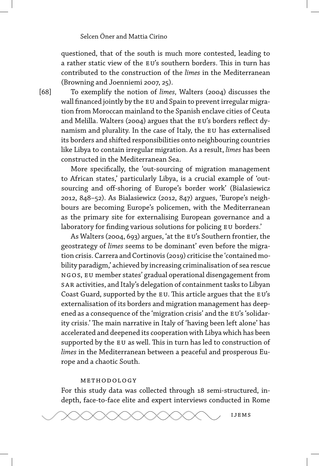questioned, that of the south is much more contested, leading to a rather static view of the EU's southern borders. This in turn has contributed to the construction of the *limes* in the Mediterranean (Browning and Joenniemi 2007, 25).

[68]

To exemplify the notion of *limes,* Walters (2004) discusses the wall financed jointly by the EU and Spain to prevent irregular migration from Moroccan mainland to the Spanish enclave cities of Ceuta and Melilla. Walters (2004) argues that the EU's borders reflect dynamism and plurality. In the case of Italy, the EU has externalised its borders and shifted responsibilities onto neighbouring countries like Libya to contain irregular migration. As a result, *limes* has been constructed in the Mediterranean Sea.

More specifically, the 'out-sourcing of migration management to African states,' particularly Libya, is a crucial example of 'outsourcing and off-shoring of Europe's border work' (Bialasiewicz 2012, 848–52). As Bialasiewicz (2012, 847) argues, 'Europe's neighbours are becoming Europe's policemen, with the Mediterranean as the primary site for externalising European governance and a laboratory for finding various solutions for policing EU borders.'

As Walters (2004, 693) argues, 'at the EU's Southern frontier, the geostrategy of *limes* seems to be dominant' even before the migration crisis. Carrera and Cortinovis (2019) criticise the 'contained mobility paradigm,' achieved by increasing criminalisation of sea rescue ngos, eu member states' gradual operational disengagement from sar activities, and Italy's delegation of containment tasks to Libyan Coast Guard, supported by the EU. This article argues that the EU's externalisation of its borders and migration management has deepened as a consequence of the 'migration crisis' and the EU's 'solidarity crisis.' The main narrative in Italy of 'having been left alone' has accelerated and deepened its cooperation with Libya which has been supported by the EU as well. This in turn has led to construction of *limes* in the Mediterranean between a peaceful and prosperous Europe and a chaotic South.

### methodology

For this study data was collected through 18 semi-structured, indepth, face-to-face elite and expert interviews conducted in Rome

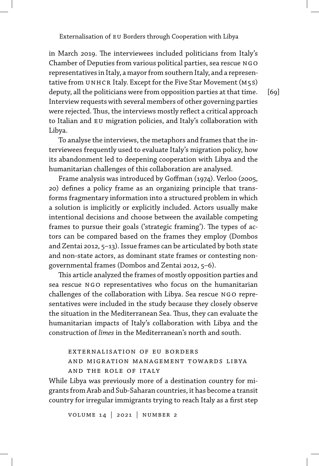in March 2019. The interviewees included politicians from Italy's Chamber of Deputies from various political parties, sea rescue NGO representatives in Italy, a mayor from southern Italy, and a representative from UNHCR Italy. Except for the Five Star Movement ( $M$ 5S) deputy, all the politicians were from opposition parties at that time. Interview requests with several members of other governing parties were rejected. Thus, the interviews mostly reflect a critical approach to Italian and eu migration policies, and Italy's collaboration with Libya.

[69]

To analyse the interviews, the metaphors and frames that the interviewees frequently used to evaluate Italy's migration policy, how its abandonment led to deepening cooperation with Libya and the humanitarian challenges of this collaboration are analysed.

Frame analysis was introduced by Goffman (1974). Verloo (2005, 20) defines a policy frame as an organizing principle that transforms fragmentary information into a structured problem in which a solution is implicitly or explicitly included. Actors usually make intentional decisions and choose between the available competing frames to pursue their goals ('strategic framing'). The types of actors can be compared based on the frames they employ (Dombos and Zentai 2012, 5–13). Issue frames can be articulated by both state and non-state actors, as dominant state frames or contesting nongovernmental frames (Dombos and Zentai 2012, 5–6).

This article analyzed the frames of mostly opposition parties and sea rescue NGO representatives who focus on the humanitarian challenges of the collaboration with Libya. Sea rescue NGO representatives were included in the study because they closely observe the situation in the Mediterranean Sea. Thus, they can evaluate the humanitarian impacts of Italy's collaboration with Libya and the construction of *limes* in the Mediterranean's north and south.

### externalisation of eu borders and migration management towards libya and the role of italy

While Libya was previously more of a destination country for migrants from Arab and Sub-Saharan countries, it has become a transit country for irregular immigrants trying to reach Italy as a first step

volume 14 | 2021 | number 2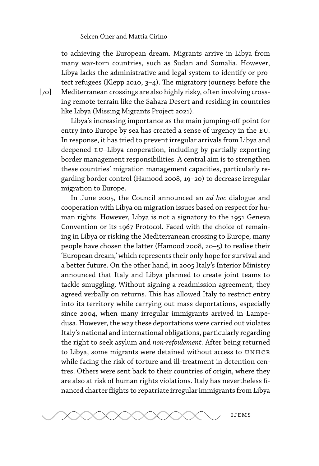to achieving the European dream. Migrants arrive in Libya from many war-torn countries, such as Sudan and Somalia. However, Libya lacks the administrative and legal system to identify or protect refugees (Klepp 2010, 3–4). The migratory journeys before the Mediterranean crossings are also highly risky, often involving crossing remote terrain like the Sahara Desert and residing in countries like Libya (Missing Migrants Project 2021).

Libya's increasing importance as the main jumping-off point for entry into Europe by sea has created a sense of urgency in the eu. In response, it has tried to prevent irregular arrivals from Libya and deepened eu–Libya cooperation, including by partially exporting border management responsibilities. A central aim is to strengthen these countries' migration management capacities, particularly regarding border control (Hamood 2008, 19–20) to decrease irregular migration to Europe.

In June 2005, the Council announced an *ad hoc* dialogue and cooperation with Libya on migration issues based on respect for human rights. However, Libya is not a signatory to the 1951 Geneva Convention or its 1967 Protocol. Faced with the choice of remaining in Libya or risking the Mediterranean crossing to Europe, many people have chosen the latter (Hamood 2008, 20–5) to realise their 'European dream,' which represents their only hope for survival and a better future. On the other hand, in 2005 Italy's Interior Ministry announced that Italy and Libya planned to create joint teams to tackle smuggling. Without signing a readmission agreement, they agreed verbally on returns. This has allowed Italy to restrict entry into its territory while carrying out mass deportations, especially since 2004, when many irregular immigrants arrived in Lampedusa. However, the way these deportations were carried out violates Italy's national and international obligations, particularly regarding the right to seek asylum and *non-refoulement.* After being returned to Libya, some migrants were detained without access to UNHCR while facing the risk of torture and ill-treatment in detention centres. Others were sent back to their countries of origin, where they are also at risk of human rights violations. Italy has nevertheless financed charter flights to repatriate irregular immigrants from Libya



[70]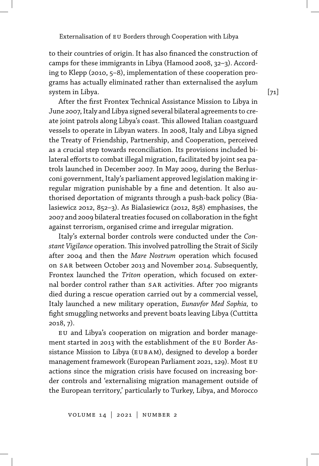to their countries of origin. It has also financed the construction of camps for these immigrants in Libya (Hamood 2008, 32–3). According to Klepp (2010, 5–8), implementation of these cooperation programs has actually eliminated rather than externalised the asylum system in Libya.

After the first Frontex Technical Assistance Mission to Libya in June 2007, Italy and Libya signed several bilateral agreements to create joint patrols along Libya's coast. This allowed Italian coastguard vessels to operate in Libyan waters. In 2008, Italy and Libya signed the Treaty of Friendship, Partnership, and Cooperation, perceived as a crucial step towards reconciliation. Its provisions included bilateral efforts to combat illegal migration, facilitated by joint sea patrols launched in December 2007. In May 2009, during the Berlusconi government, Italy's parliament approved legislation making irregular migration punishable by a fine and detention. It also authorised deportation of migrants through a push-back policy (Bialasiewicz 2012, 852–3). As Bialasiewicz (2012, 858) emphasises, the 2007 and 2009 bilateral treaties focused on collaboration in the fight against terrorism, organised crime and irregular migration.

Italy's external border controls were conducted under the *Constant Vigilance* operation. This involved patrolling the Strait of Sicily after 2004 and then the *Mare Nostrum* operation which focused on sar between October 2013 and November 2014. Subsequently, Frontex launched the *Triton* operation, which focused on external border control rather than SAR activities. After 700 migrants died during a rescue operation carried out by a commercial vessel, Italy launched a new military operation, *Eunavfor Med Sophia,* to fight smuggling networks and prevent boats leaving Libya (Cuttitta 2018, 7).

EU and Libya's cooperation on migration and border management started in 2013 with the establishment of the eu Border Assistance Mission to Libya (EUBAM), designed to develop a border management framework (European Parliament 2021, 129). Most eu actions since the migration crisis have focused on increasing border controls and 'externalising migration management outside of the European territory,' particularly to Turkey, Libya, and Morocco [71]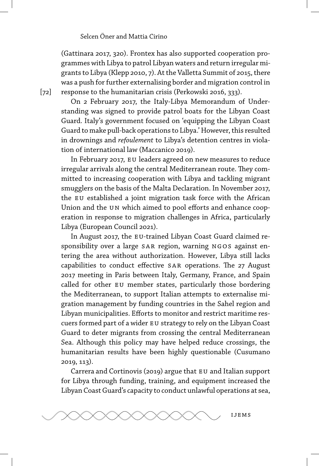(Gattinara 2017, 320). Frontex has also supported cooperation programmes with Libya to patrol Libyan waters and return irregular migrants to Libya (Klepp 2010, 7). At the Valletta Summit of 2015, there was a push for further externalising border and migration control in response to the humanitarian crisis (Perkowski 2016, 333).

On 2 February 2017, the Italy-Libya Memorandum of Understanding was signed to provide patrol boats for the Libyan Coast Guard. Italy's government focused on 'equipping the Libyan Coast Guard to make pull-back operations to Libya.' However, this resulted in drownings and *refoulement* to Libya's detention centres in violation of international law (Maccanico 2019).

In February 2017, EU leaders agreed on new measures to reduce irregular arrivals along the central Mediterranean route. They committed to increasing cooperation with Libya and tackling migrant smugglers on the basis of the Malta Declaration. In November 2017, the EU established a joint migration task force with the African Union and the UN which aimed to pool efforts and enhance cooperation in response to migration challenges in Africa, particularly Libya (European Council 2021).

In August 2017, the EU-trained Libyan Coast Guard claimed responsibility over a large SAR region, warning NGOS against entering the area without authorization. However, Libya still lacks capabilities to conduct effective SAR operations. The 27 August 2017 meeting in Paris between Italy, Germany, France, and Spain called for other EU member states, particularly those bordering the Mediterranean, to support Italian attempts to externalise migration management by funding countries in the Sahel region and Libyan municipalities. Efforts to monitor and restrict maritime rescuers formed part of a wider eu strategy to rely on the Libyan Coast Guard to deter migrants from crossing the central Mediterranean Sea. Although this policy may have helped reduce crossings, the humanitarian results have been highly questionable (Cusumano 2019, 113).

Carrera and Cortinovis (2019) argue that EU and Italian support for Libya through funding, training, and equipment increased the Libyan Coast Guard's capacity to conduct unlawful operations at sea,



[72]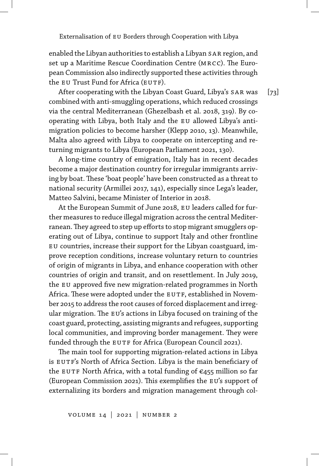enabled the Libyan authorities to establish a Libyan SAR region, and set up a Maritime Rescue Coordination Centre (mrcc). The European Commission also indirectly supported these activities through the EU Trust Fund for Africa (EUTF).

After cooperating with the Libyan Coast Guard, Libya's SAR was combined with anti-smuggling operations, which reduced crossings via the central Mediterranean (Ghezelbash et al. 2018, 319). By cooperating with Libya, both Italy and the EU allowed Libya's antimigration policies to become harsher (Klepp 2010, 13). Meanwhile, Malta also agreed with Libya to cooperate on intercepting and returning migrants to Libya (European Parliament 2021, 130).

A long-time country of emigration, Italy has in recent decades become a major destination country for irregular immigrants arriving by boat. These 'boat people' have been constructed as a threat to national security (Armillei 2017, 141), especially since Lega's leader, Matteo Salvini, became Minister of Interior in 2018.

At the European Summit of June 2018, eu leaders called for further measures to reduce illegal migration across the central Mediterranean.They agreed to step up efforts to stop migrant smugglers operating out of Libya, continue to support Italy and other frontline eu countries, increase their support for the Libyan coastguard, improve reception conditions, increase voluntary return to countries of origin of migrants in Libya, and enhance cooperation with other countries of origin and transit, and on resettlement. In July 2019, the EU approved five new migration-related programmes in North Africa. These were adopted under the EUTF, established in November 2015 to address the root causes of forced displacement and irregular migration. The EU's actions in Libya focused on training of the coast guard, protecting, assisting migrants and refugees, supporting local communities, and improving border management. They were funded through the EUTF for Africa (European Council 2021).

The main tool for supporting migration-related actions in Libya is EUTF's North of Africa Section. Libya is the main beneficiary of the EUTF North Africa, with a total funding of  $\epsilon$ 455 million so far (European Commission 2021). This exemplifies the EU's support of externalizing its borders and migration management through col[73]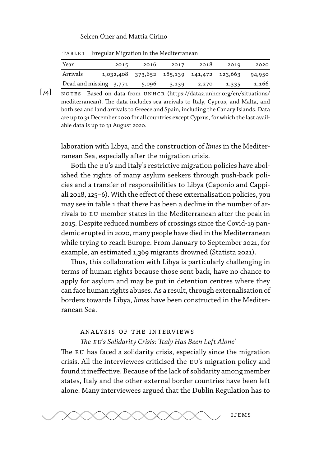| TABLE 1 Irregular Migration in the Mediterranean |  |
|--------------------------------------------------|--|

| Year                   | 2015 | 2016                                             | 2017  | 2018  | 2019  | 2020  |
|------------------------|------|--------------------------------------------------|-------|-------|-------|-------|
| Arrivals               |      | 1,032,408 373,652 185,139 141,472 123,663 94,950 |       |       |       |       |
| Dead and missing 3,771 |      | 5,096                                            | 3,139 | 2,270 | 1,335 | 1,166 |

 $[74]$ NOTES Based on data from UNHCR (https://data2.unhcr.org/en/situations/ mediterranean). The data includes sea arrivals to Italy, Cyprus, and Malta, and both sea and land arrivals to Greece and Spain, including the Canary Islands. Data are up to 31 December 2020 for all countries except Cyprus, for which the last available data is up to 31 August 2020.

laboration with Libya, and the construction of *limes* in the Mediterranean Sea, especially after the migration crisis.

Both the EU's and Italy's restrictive migration policies have abolished the rights of many asylum seekers through push-back policies and a transfer of responsibilities to Libya (Caponio and Cappiali 2018, 125–6). With the effect of these externalisation policies, you may see in table 1 that there has been a decline in the number of arrivals to EU member states in the Mediterranean after the peak in 2015. Despite reduced numbers of crossings since the Covid-19 pandemic erupted in 2020, many people have died in the Mediterranean while trying to reach Europe. From January to September 2021, for example, an estimated 1,369 migrants drowned (Statista 2021).

Thus, this collaboration with Libya is particularly challenging in terms of human rights because those sent back, have no chance to apply for asylum and may be put in detention centres where they can face human rights abuses. As a result, through externalisation of borders towards Libya, *limes* have been constructed in the Mediterranean Sea.

### analysis of the interviews

### *The eu's Solidarity Crisis: 'Italy Has Been Left Alone'*

The EU has faced a solidarity crisis, especially since the migration crisis. All the interviewees criticised the EU's migration policy and found it ineffective. Because of the lack of solidarity among member states, Italy and the other external border countries have been left alone. Many interviewees argued that the Dublin Regulation has to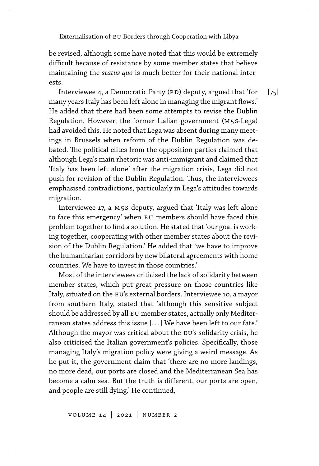be revised, although some have noted that this would be extremely difficult because of resistance by some member states that believe maintaining the *status quo* is much better for their national interests.

 $[75]$ Interviewee 4, a Democratic Party (PD) deputy, argued that 'for many years Italy has been left alone in managing the migrant flows.' He added that there had been some attempts to revise the Dublin Regulation. However, the former Italian government (m5s-Lega) had avoided this. He noted that Lega was absent during many meetings in Brussels when reform of the Dublin Regulation was debated. The political elites from the opposition parties claimed that although Lega's main rhetoric was anti-immigrant and claimed that 'Italy has been left alone' after the migration crisis, Lega did not push for revision of the Dublin Regulation. Thus, the interviewees emphasised contradictions, particularly in Lega's attitudes towards migration.

Interviewee 17, a m5s deputy, argued that 'Italy was left alone to face this emergency' when EU members should have faced this problem together to find a solution. He stated that 'our goal is working together, cooperating with other member states about the revision of the Dublin Regulation.' He added that 'we have to improve the humanitarian corridors by new bilateral agreements with home countries. We have to invest in those countries.'

Most of the interviewees criticised the lack of solidarity between member states, which put great pressure on those countries like Italy, situated on the EU's external borders. Interviewee 10, a mayor from southern Italy, stated that 'although this sensitive subject should be addressed by all EU member states, actually only Mediterranean states address this issue [... ] We have been left to our fate.' Although the mayor was critical about the EU's solidarity crisis, he also criticised the Italian government's policies. Specifically, those managing Italy's migration policy were giving a weird message. As he put it, the government claim that 'there are no more landings, no more dead, our ports are closed and the Mediterranean Sea has become a calm sea. But the truth is different, our ports are open, and people are still dying.' He continued,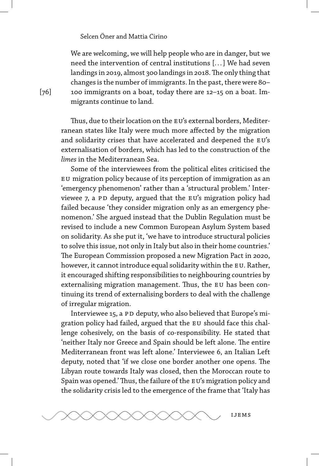We are welcoming, we will help people who are in danger, but we need the intervention of central institutions [... ] We had seven landings in 2019, almost 300 landings in 2018. The only thing that changes is the number of immigrants. In the past, there were 80– 100 immigrants on a boat, today there are 12–15 on a boat. Immigrants continue to land.

Thus, due to their location on the EU's external borders, Mediterranean states like Italy were much more affected by the migration and solidarity crises that have accelerated and deepened the EU's externalisation of borders, which has led to the construction of the *limes* in the Mediterranean Sea.

Some of the interviewees from the political elites criticised the eu migration policy because of its perception of immigration as an 'emergency phenomenon' rather than a 'structural problem.' Interviewee 7, a PD deputy, argued that the EU's migration policy had failed because 'they consider migration only as an emergency phenomenon.' She argued instead that the Dublin Regulation must be revised to include a new Common European Asylum System based on solidarity. As she put it, 'we have to introduce structural policies to solve this issue, not only in Italy but also in their home countries.' The European Commission proposed a new Migration Pact in 2020, however, it cannot introduce equal solidarity within the EU. Rather, it encouraged shifting responsibilities to neighbouring countries by externalising migration management. Thus, the EU has been continuing its trend of externalising borders to deal with the challenge of irregular migration.

Interviewee 15, a PD deputy, who also believed that Europe's migration policy had failed, argued that the EU should face this challenge cohesively, on the basis of co-responsibility. He stated that 'neither Italy nor Greece and Spain should be left alone. The entire Mediterranean front was left alone.' Interviewee 6, an Italian Left deputy, noted that 'if we close one border another one opens. The Libyan route towards Italy was closed, then the Moroccan route to Spain was opened.' Thus, the failure of the EU's migration policy and the solidarity crisis led to the emergence of the frame that 'Italy has

[76]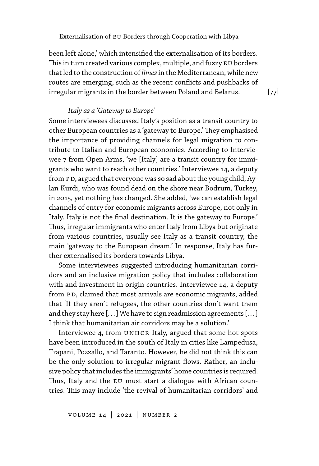been left alone,' which intensified the externalisation of its borders. This in turn created various complex, multiple, and fuzzy EU borders that led to the construction of*limes*in the Mediterranean, while new routes are emerging, such as the recent conflicts and pushbacks of irregular migrants in the border between Poland and Belarus.

*Italy as a 'Gateway to Europe'*

Some interviewees discussed Italy's position as a transit country to other European countries as a 'gateway to Europe.' They emphasised the importance of providing channels for legal migration to contribute to Italian and European economies. According to Interviewee 7 from Open Arms, 'we [Italy] are a transit country for immigrants who want to reach other countries.' Interviewee 14, a deputy from PD, argued that everyone was so sad about the young child, Aylan Kurdi, who was found dead on the shore near Bodrum, Turkey, in 2015, yet nothing has changed. She added, 'we can establish legal channels of entry for economic migrants across Europe, not only in Italy. Italy is not the final destination. It is the gateway to Europe.' Thus, irregular immigrants who enter Italy from Libya but originate from various countries, usually see Italy as a transit country, the main 'gateway to the European dream.' In response, Italy has further externalised its borders towards Libya.

Some interviewees suggested introducing humanitarian corridors and an inclusive migration policy that includes collaboration with and investment in origin countries. Interviewee 14, a deputy from PD, claimed that most arrivals are economic migrants, added that 'If they aren't refugees, the other countries don't want them and they stay here [... ] We have to sign readmission agreements [... ] I think that humanitarian air corridors may be a solution.'

Interviewee 4, from UNHCR Italy, argued that some hot spots have been introduced in the south of Italy in cities like Lampedusa, Trapani, Pozzallo, and Taranto. However, he did not think this can be the only solution to irregular migrant flows. Rather, an inclusive policy that includes the immigrants' home countries is required. Thus, Italy and the EU must start a dialogue with African countries. This may include 'the revival of humanitarian corridors' and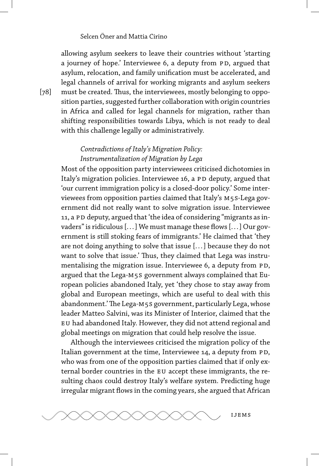allowing asylum seekers to leave their countries without 'starting a journey of hope.' Interviewee 6, a deputy from PD, argued that asylum, relocation, and family unification must be accelerated, and legal channels of arrival for working migrants and asylum seekers must be created. Thus, the interviewees, mostly belonging to opposition parties, suggested further collaboration with origin countries in Africa and called for legal channels for migration, rather than shifting responsibilities towards Libya, which is not ready to deal with this challenge legally or administratively.

## *Contradictions of Italy's Migration Policy: Instrumentalization of Migration by Lega*

Most of the opposition party interviewees criticised dichotomies in Italy's migration policies. Interviewee 16, a PD deputy, argued that 'our current immigration policy is a closed-door policy.' Some interviewees from opposition parties claimed that Italy's m5s-Lega government did not really want to solve migration issue. Interviewee 11, a PD deputy, argued that 'the idea of considering "migrants as invaders" is ridiculous [... ] We must manage these flows [... ] Our government is still stoking fears of immigrants.' He claimed that 'they are not doing anything to solve that issue [... ] because they do not want to solve that issue.' Thus, they claimed that Lega was instrumentalising the migration issue. Interviewee 6, a deputy from PD, argued that the Lega-m5s government always complained that European policies abandoned Italy, yet 'they chose to stay away from global and European meetings, which are useful to deal with this abandonment.'The Lega-m5s government, particularly Lega, whose leader Matteo Salvini, was its Minister of Interior, claimed that the eu had abandoned Italy. However, they did not attend regional and global meetings on migration that could help resolve the issue.

Although the interviewees criticised the migration policy of the Italian government at the time, Interviewee 14, a deputy from PD, who was from one of the opposition parties claimed that if only external border countries in the EU accept these immigrants, the resulting chaos could destroy Italy's welfare system. Predicting huge irregular migrant flows in the coming years, she argued that African



[78]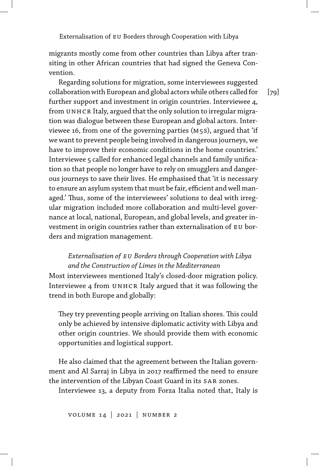migrants mostly come from other countries than Libya after transiting in other African countries that had signed the Geneva Convention.

Regarding solutions for migration, some interviewees suggested collaboration with European and global actors while others called for further support and investment in origin countries. Interviewee 4, from UNHCR Italy, argued that the only solution to irregular migration was dialogue between these European and global actors. Interviewee 16, from one of the governing parties (m5s), argued that 'if we want to prevent people being involved in dangerous journeys, we have to improve their economic conditions in the home countries.' Interviewee 5 called for enhanced legal channels and family unification so that people no longer have to rely on smugglers and dangerous journeys to save their lives. He emphasised that 'it is necessary to ensure an asylum system that must be fair, efficient and well managed.' Thus, some of the interviewees' solutions to deal with irregular migration included more collaboration and multi-level governance at local, national, European, and global levels, and greater investment in origin countries rather than externalisation of eu borders and migration management.

### *Externalisation of eu Borders through Cooperation with Libya and the Construction of Limes in the Mediterranean*

Most interviewees mentioned Italy's closed-door migration policy. Interviewee 4 from UNHCR Italy argued that it was following the trend in both Europe and globally:

They try preventing people arriving on Italian shores. This could only be achieved by intensive diplomatic activity with Libya and other origin countries. We should provide them with economic opportunities and logistical support.

He also claimed that the agreement between the Italian government and Al Sarraj in Libya in 2017 reaffirmed the need to ensure the intervention of the Libyan Coast Guard in its SAR zones.

Interviewee 13, a deputy from Forza Italia noted that, Italy is

 $[79]$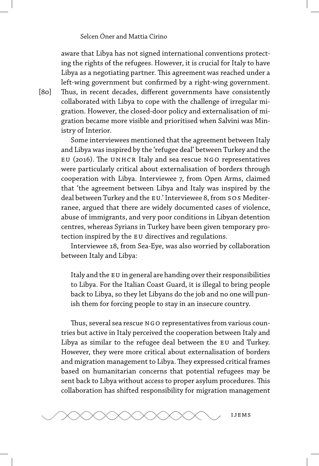aware that Libya has not signed international conventions protecting the rights of the refugees. However, it is crucial for Italy to have Libya as a negotiating partner. This agreement was reached under a left-wing government but confirmed by a right-wing government. Thus, in recent decades, different governments have consistently collaborated with Libya to cope with the challenge of irregular migration. However, the closed-door policy and externalisation of migration became more visible and prioritised when Salvini was Min-

Some interviewees mentioned that the agreement between Italy and Libya was inspired by the 'refugee deal' between Turkey and the eu (2016). The unhcr Italy and sea rescue ngo representatives were particularly critical about externalisation of borders through cooperation with Libya. Interviewee 7, from Open Arms, claimed that 'the agreement between Libya and Italy was inspired by the deal between Turkey and the EU.' Interviewee 8, from SOS Mediterranee, argued that there are widely documented cases of violence, abuse of immigrants, and very poor conditions in Libyan detention centres, whereas Syrians in Turkey have been given temporary protection inspired by the EU directives and regulations.

Interviewee 18, from Sea-Eye, was also worried by collaboration between Italy and Libya:

Italy and the EU in general are handing over their responsibilities to Libya. For the Italian Coast Guard, it is illegal to bring people back to Libya, so they let Libyans do the job and no one will punish them for forcing people to stay in an insecure country.

Thus, several sea rescue NGO representatives from various countries but active in Italy perceived the cooperation between Italy and Libya as similar to the refugee deal between the EU and Turkey. However, they were more critical about externalisation of borders and migration management to Libya. They expressed critical frames based on humanitarian concerns that potential refugees may be sent back to Libya without access to proper asylum procedures. This collaboration has shifted responsibility for migration management



[80]

istry of Interior.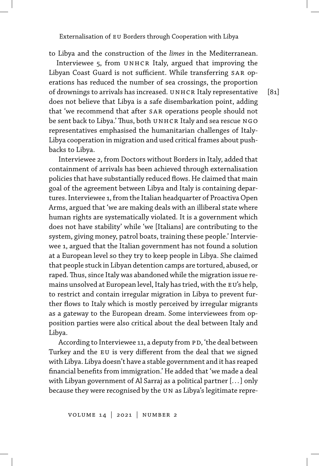to Libya and the construction of the *limes* in the Mediterranean.

Interviewee 5, from UNHCR Italy, argued that improving the Libyan Coast Guard is not sufficient. While transferring SAR operations has reduced the number of sea crossings, the proportion of drownings to arrivals has increased. UNHCR Italy representative does not believe that Libya is a safe disembarkation point, adding that 'we recommend that after SAR operations people should not be sent back to Libya.' Thus, both UNHCR Italy and sea rescue NGO representatives emphasised the humanitarian challenges of Italy-Libya cooperation in migration and used critical frames about pushbacks to Libya.

Interviewee 2, from Doctors without Borders in Italy, added that containment of arrivals has been achieved through externalisation policies that have substantially reduced flows. He claimed that main goal of the agreement between Libya and Italy is containing departures. Interviewee 1, from the Italian headquarter of Proactiva Open Arms, argued that 'we are making deals with an illiberal state where human rights are systematically violated. It is a government which does not have stability' while 'we [Italians] are contributing to the system, giving money, patrol boats, training these people.' Interviewee 1, argued that the Italian government has not found a solution at a European level so they try to keep people in Libya. She claimed that people stuck in Libyan detention camps are tortured, abused, or raped. Thus, since Italy was abandoned while the migration issue remains unsolved at European level, Italy has tried, with the EU's help, to restrict and contain irregular migration in Libya to prevent further flows to Italy which is mostly perceived by irregular migrants as a gateway to the European dream. Some interviewees from opposition parties were also critical about the deal between Italy and Libya.

According to Interviewee 11, a deputy from PD, 'the deal between Turkey and the EU is very different from the deal that we signed with Libya. Libya doesn't have a stable government and it has reaped financial benefits from immigration.' He added that 'we made a deal with Libyan government of Al Sarraj as a political partner [... ] only because they were recognised by the UN as Libya's legitimate repre-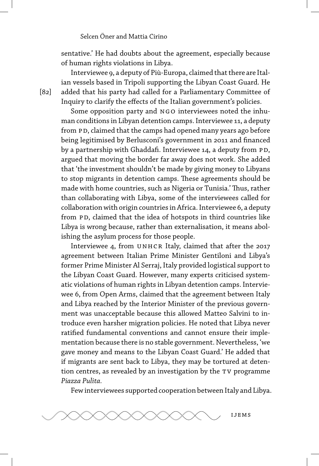sentative.' He had doubts about the agreement, especially because of human rights violations in Libya.

Interviewee 9, a deputy of Più-Europa, claimed that there are Italian vessels based in Tripoli supporting the Libyan Coast Guard. He added that his party had called for a Parliamentary Committee of Inquiry to clarify the effects of the Italian government's policies.

Some opposition party and NGO interviewees noted the inhuman conditions in Libyan detention camps. Interviewee 11, a deputy from PD, claimed that the camps had opened many years ago before being legitimised by Berlusconi's government in 2011 and financed by a partnership with Ghaddafi. Interviewee 14, a deputy from PD, argued that moving the border far away does not work. She added that 'the investment shouldn't be made by giving money to Libyans to stop migrants in detention camps. These agreements should be made with home countries, such as Nigeria or Tunisia.' Thus, rather than collaborating with Libya, some of the interviewees called for collaboration with origin countries in Africa. Interviewee 6, a deputy from PD, claimed that the idea of hotspots in third countries like Libya is wrong because, rather than externalisation, it means abolishing the asylum process for those people.

Interviewee 4, from UNHCR Italy, claimed that after the 2017 agreement between Italian Prime Minister Gentiloni and Libya's former Prime Minister Al Serraj, Italy provided logistical support to the Libyan Coast Guard. However, many experts criticised systematic violations of human rights in Libyan detention camps. Interviewee 6, from Open Arms, claimed that the agreement between Italy and Libya reached by the Interior Minister of the previous government was unacceptable because this allowed Matteo Salvini to introduce even harsher migration policies. He noted that Libya never ratified fundamental conventions and cannot ensure their implementation because there is no stable government. Nevertheless, 'we gave money and means to the Libyan Coast Guard.' He added that if migrants are sent back to Libya, they may be tortured at detention centres, as revealed by an investigation by the TV programme *Piazza Pulita.*

Few interviewees supported cooperation between Italy and Libya.



[82]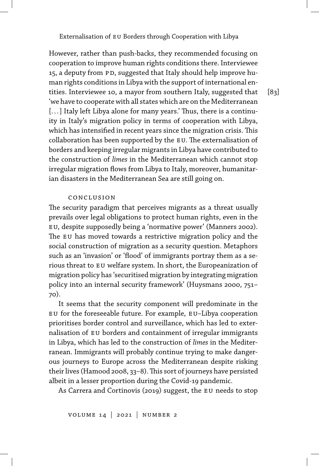However, rather than push-backs, they recommended focusing on cooperation to improve human rights conditions there. Interviewee 15, a deputy from PD, suggested that Italy should help improve human rights conditions in Libya with the support of international entities. Interviewee 10, a mayor from southern Italy, suggested that 'we have to cooperate with all states which are on the Mediterranean [...] Italy left Libya alone for many years.' Thus, there is a continuity in Italy's migration policy in terms of cooperation with Libya, which has intensified in recent years since the migration crisis. This collaboration has been supported by the EU. The externalisation of borders and keeping irregular migrants in Libya have contributed to the construction of *limes* in the Mediterranean which cannot stop irregular migration flows from Libya to Italy, moreover, humanitarian disasters in the Mediterranean Sea are still going on.

### conclusion

The security paradigm that perceives migrants as a threat usually prevails over legal obligations to protect human rights, even in the eu, despite supposedly being a 'normative power' (Manners 2002). The EU has moved towards a restrictive migration policy and the social construction of migration as a security question. Metaphors such as an 'invasion' or 'flood' of immigrants portray them as a serious threat to EU welfare system. In short, the Europeanization of migration policy has 'securitised migration by integrating migration policy into an internal security framework' (Huysmans 2000, 751– 70).

It seems that the security component will predominate in the eu for the foreseeable future. For example, eu–Libya cooperation prioritises border control and surveillance, which has led to externalisation of eu borders and containment of irregular immigrants in Libya, which has led to the construction of *limes* in the Mediterranean. Immigrants will probably continue trying to make dangerous journeys to Europe across the Mediterranean despite risking their lives (Hamood 2008, 33-8). This sort of journeys have persisted albeit in a lesser proportion during the Covid-19 pandemic.

As Carrera and Cortinovis (2019) suggest, the EU needs to stop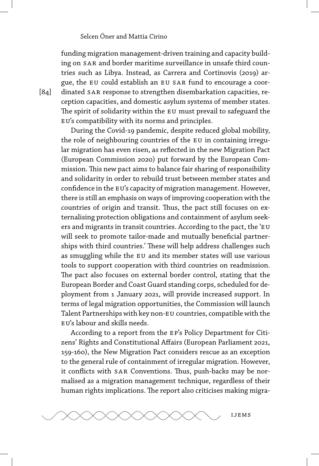funding migration management-driven training and capacity building on SAR and border maritime surveillance in unsafe third countries such as Libya. Instead, as Carrera and Cortinovis (2019) argue, the EU could establish an EU SAR fund to encourage a coordinated SAR response to strengthen disembarkation capacities, reception capacities, and domestic asylum systems of member states. The spirit of solidarity within the EU must prevail to safeguard the EU's compatibility with its norms and principles.

During the Covid-19 pandemic, despite reduced global mobility, the role of neighbouring countries of the EU in containing irregular migration has even risen, as reflected in the new Migration Pact (European Commission 2020) put forward by the European Commission. This new pact aims to balance fair sharing of responsibility and solidarity in order to rebuild trust between member states and confidence in the EU's capacity of migration management. However, there is still an emphasis on ways of improving cooperation with the countries of origin and transit. Thus, the pact still focuses on externalising protection obligations and containment of asylum seekers and migrants in transit countries. According to the pact, the 'EU will seek to promote tailor-made and mutually beneficial partnerships with third countries.' These will help address challenges such as smuggling while the EU and its member states will use various tools to support cooperation with third countries on readmission. The pact also focuses on external border control, stating that the European Border and Coast Guard standing corps, scheduled for deployment from 1 January 2021, will provide increased support. In terms of legal migration opportunities, the Commission will launch Talent Partnerships with key non-EU countries, compatible with the eu's labour and skills needs.

According to a report from the ep's Policy Department for Citizens' Rights and Constitutional Affairs (European Parliament 2021, 159-160), the New Migration Pact considers rescue as an exception to the general rule of containment of irregular migration. However, it conflicts with sar Conventions. Thus, push-backs may be normalised as a migration management technique, regardless of their human rights implications. The report also criticises making migra-



[84]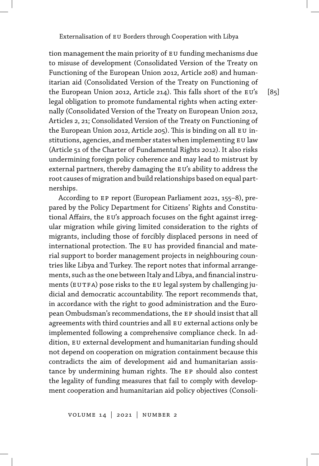tion management the main priority of EU funding mechanisms due to misuse of development (Consolidated Version of the Treaty on Functioning of the European Union 2012, Article 208) and humanitarian aid (Consolidated Version of the Treaty on Functioning of the European Union 2012, Article 214). This falls short of the EU's legal obligation to promote fundamental rights when acting externally (Consolidated Version of the Treaty on European Union 2012, Articles 2, 21; Consolidated Version of the Treaty on Functioning of the European Union 2012, Article 205). This is binding on all EU institutions, agencies, and member states when implementing EU law (Article 51 of the Charter of Fundamental Rights 2012). It also risks undermining foreign policy coherence and may lead to mistrust by external partners, thereby damaging the EU's ability to address the root causes of migration and build relationships based on equal partnerships.

According to ep report (European Parliament 2021, 155–8), prepared by the Policy Department for Citizens' Rights and Constitutional Affairs, the EU's approach focuses on the fight against irregular migration while giving limited consideration to the rights of migrants, including those of forcibly displaced persons in need of international protection. The EU has provided financial and material support to border management projects in neighbouring countries like Libya and Turkey. The report notes that informal arrangements, such as the one between Italy and Libya, and financial instruments (EUTFA) pose risks to the EU legal system by challenging judicial and democratic accountability. The report recommends that, in accordance with the right to good administration and the European Ombudsman's recommendations, the ep should insist that all agreements with third countries and all EU external actions only be implemented following a comprehensive compliance check. In addition, EU external development and humanitarian funding should not depend on cooperation on migration containment because this contradicts the aim of development aid and humanitarian assistance by undermining human rights. The ep should also contest the legality of funding measures that fail to comply with development cooperation and humanitarian aid policy objectives (Consoli[85]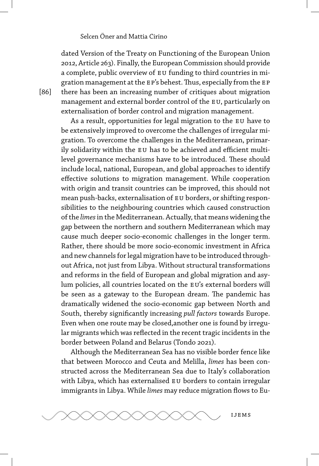dated Version of the Treaty on Functioning of the European Union 2012, Article 263). Finally, the European Commission should provide a complete, public overview of eu funding to third countries in migration management at the EP's behest. Thus, especially from the EP there has been an increasing number of critiques about migration management and external border control of the EU, particularly on externalisation of border control and migration management.

As a result, opportunities for legal migration to the EU have to be extensively improved to overcome the challenges of irregular migration. To overcome the challenges in the Mediterranean, primarily solidarity within the EU has to be achieved and efficient multilevel governance mechanisms have to be introduced. These should include local, national, European, and global approaches to identify effective solutions to migration management. While cooperation with origin and transit countries can be improved, this should not mean push-backs, externalisation of eu borders, or shifting responsibilities to the neighbouring countries which caused construction of the *limes*in the Mediterranean. Actually, that means widening the gap between the northern and southern Mediterranean which may cause much deeper socio-economic challenges in the longer term. Rather, there should be more socio-economic investment in Africa and new channels for legal migration have to be introduced throughout Africa, not just from Libya. Without structural transformations and reforms in the field of European and global migration and asylum policies, all countries located on the EU's external borders will be seen as a gateway to the European dream. The pandemic has dramatically widened the socio-economic gap between North and South, thereby significantly increasing *pull factors* towards Europe. Even when one route may be closed,another one is found by irregular migrants which was reflected in the recent tragic incidents in the border between Poland and Belarus (Tondo 2021).

Although the Mediterranean Sea has no visible border fence like that between Morocco and Ceuta and Melilla, *limes* has been constructed across the Mediterranean Sea due to Italy's collaboration with Libya, which has externalised eu borders to contain irregular immigrants in Libya. While *limes* may reduce migration flows to Eu-

[86]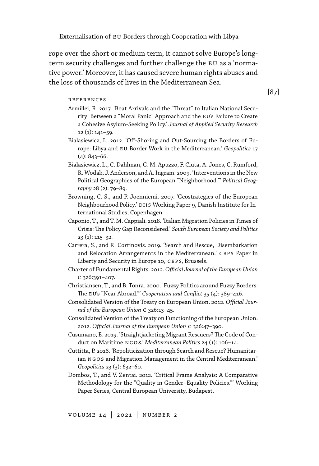rope over the short or medium term, it cannot solve Europe's longterm security challenges and further challenge the EU as a 'normative power.' Moreover, it has caused severe human rights abuses and the loss of thousands of lives in the Mediterranean Sea.

#### references

- Armillei, R. 2017. 'Boat Arrivals and the "Threat" to Italian National Security: Between a "Moral Panic" Approach and the EU's Failure to Create a Cohesive Asylum-Seeking Policy.' *Journal of Applied Security Research* 12 (1): 141–59.
- Bialasiewicz, L. 2012. 'Off-Shoring and Out-Sourcing the Borders of Europe: Libya and eu Border Work in the Mediterranean.' *Geopolitics* 17  $(4): 843 - 66.$
- Bialasiewicz, L., C. Dahlman, G. M. Apuzzo, F. Ciuta, A. Jones, C. Rumford, R. Wodak, J. Anderson, and A. Ingram. 2009. 'Interventions in the New Political Geographies of the European "Neighborhood."' *Political Geography* 28 (2): 79–89.
- Browning, C. S., and P. Joenniemi. 2007. 'Geostrategies of the European Neighbourhood Policy.' DIIS Working Paper 9, Danish Institute for International Studies, Copenhagen.
- Caponio, T., and T. M. Cappiali. 2018. 'Italian Migration Policies in Times of Crisis: The Policy Gap Reconsidered.' *South European Society and Politics* 23 (1): 115–32.
- Carrera, S., and R. Cortinovis. 2019. 'Search and Rescue, Disembarkation and Relocation Arrangements in the Mediterranean.' CEPS Paper in Liberty and Security in Europe 10, ceps, Brussels.
- Charter of Fundamental Rights. 2012. *Official Journal of the European Union* c 326:391–407.
- Christiansen, T., and B. Tonra. 2000. 'Fuzzy Politics around Fuzzy Borders: The EU's "Near Abroad." *Cooperation and Conflict* 35 (4): 389-416.
- Consolidated Version of the Treaty on European Union. 2012. *Official Journal of the European Union* c 326:13–45.
- Consolidated Version of the Treaty on Functioning of the European Union. 2012. *Official Journal of the European Union* c 326:47–390.
- Cusumano, E. 2019. 'Straightjacketing Migrant Rescuers? The Code of Conduct on Maritime ngos.' *Mediterranean Politics* 24 (1): 106–14.
- Cuttitta, P. 2018. 'Repoliticization through Search and Rescue? Humanitarian NGOS and Migration Management in the Central Mediterranean.' *Geopolitics* 23 (3): 632–60.
- Dombos, T., and V. Zentai. 2012. 'Critical Frame Analysis: A Comparative Methodology for the "Quality in Gender+Equality Policies."' Working Paper Series, Central European University, Budapest.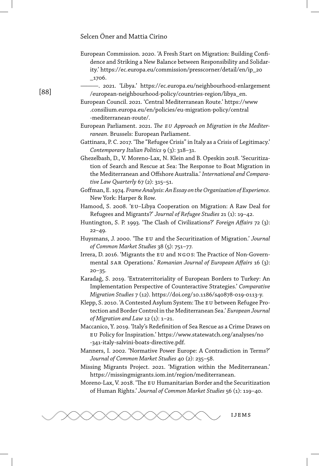- European Commission. 2020. 'A Fresh Start on Migration: Building Confidence and Striking a New Balance between Responsibility and Solidarity.' https://ec.europa.eu/commission/presscorner/detail/en/ip\_20 \_1706.
- ———. 2021. 'Libya.' https://ec.europa.eu/neighbourhood-enlargement /european-neighbourhood-policy/countries-region/libya\_en.

European Council. 2021. 'Central Mediterranean Route.' https://www .consilium.europa.eu/en/policies/eu-migration-policy/central -mediterranean-route/.

- European Parliament. 2021. *The eu Approach on Migration in the Mediterranean.* Brussels: European Parliament.
- Gattinara, P. C. 2017. 'The "Refugee Crisis" in Italy as a Crisis of Legitimacy.' *Contemporary Italian Politics* 9 (3): 318–31.

Ghezelbash, D., V. Moreno-Lax, N. Klein and B. Opeskin 2018. 'Securitization of Search and Rescue at Sea: The Response to Boat Migration in the Mediterranean and Offshore Australia.' *International and Comparative Law Quarterly* 67 (2): 315–51.

- Goffman, E. 1974. *Frame Analysis: An Essay on the Organization of Experience.* New York: Harper & Row.
- Hamood, S. 2008. 'EU-Libya Cooperation on Migration: A Raw Deal for Refugees and Migrants?' *Journal of Refugee Studies* 21 (1): 19–42.
- Huntington, S. P. 1993. 'The Clash of Civilizations?' *Foreign Affairs* 72 (3): 22–49.
- Huysmans, J. 2000. 'The eu and the Securitization of Migration.' *Journal of Common Market Studies* 38 (5): 751–77.
- Irrera, D. 2016. 'Migrants the eu and ngos: The Practice of Non-Governmental sar Operations.' *Romanian Journal of European Affairs* 16 (3):  $20 - 35.$
- Karadağ, S. 2019. 'Extraterritoriality of European Borders to Turkey: An Implementation Perspective of Counteractive Strategies.' *Comparative Migration Studies* 7 (12). https://doi.org/10.1186/s40878-019-0113-y.
- Klepp, S. 2010. 'A Contested Asylum System: The EU between Refugee Protection and Border Control in the Mediterranean Sea.' *European Journal of Migration and Law* 12 (1): 1–21.
- Maccanico, Y. 2019. 'Italy's Redefinition of Sea Rescue as a Crime Draws on eu Policy for Inspiration.' https://www.statewatch.org/analyses/no -341-italy-salvini-boats-directive.pdf.
- Manners, I. 2002. 'Normative Power Europe: A Contradiction in Terms?' *Journal of Common Market Studies* 40 (2): 235–58.
- Missing Migrants Project. 2021. 'Migration within the Mediterranean.' https://missingmigrants.iom.int/region/mediterranean.

Moreno-Lax, V. 2018. 'The eu Humanitarian Border and the Securitization of Human Rights.' *Journal of Common Market Studies* 56 (1): 119–40.



### [88]